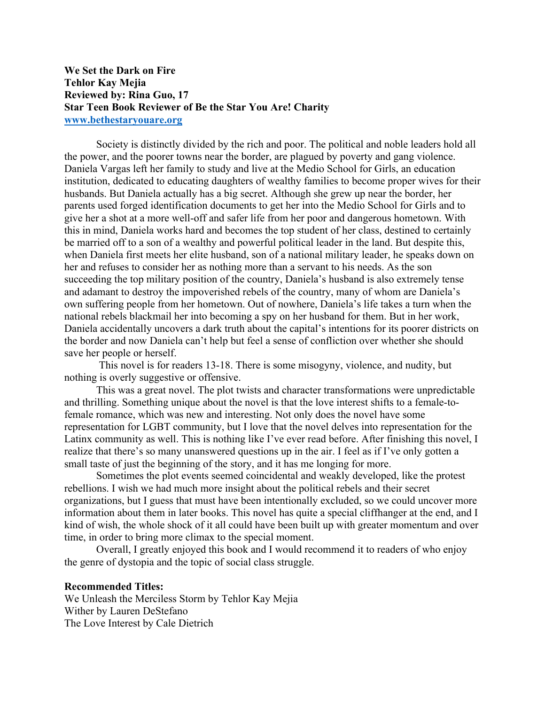## **We Set the Dark on Fire Tehlor Kay Mejia Reviewed by: Rina Guo, 17 Star Teen Book Reviewer of Be the Star You Are! Charity www.bethestaryouare.org**

Society is distinctly divided by the rich and poor. The political and noble leaders hold all the power, and the poorer towns near the border, are plagued by poverty and gang violence. Daniela Vargas left her family to study and live at the Medio School for Girls, an education institution, dedicated to educating daughters of wealthy families to become proper wives for their husbands. But Daniela actually has a big secret. Although she grew up near the border, her parents used forged identification documents to get her into the Medio School for Girls and to give her a shot at a more well-off and safer life from her poor and dangerous hometown. With this in mind, Daniela works hard and becomes the top student of her class, destined to certainly be married off to a son of a wealthy and powerful political leader in the land. But despite this, when Daniela first meets her elite husband, son of a national military leader, he speaks down on her and refuses to consider her as nothing more than a servant to his needs. As the son succeeding the top military position of the country, Daniela's husband is also extremely tense and adamant to destroy the impoverished rebels of the country, many of whom are Daniela's own suffering people from her hometown. Out of nowhere, Daniela's life takes a turn when the national rebels blackmail her into becoming a spy on her husband for them. But in her work, Daniela accidentally uncovers a dark truth about the capital's intentions for its poorer districts on the border and now Daniela can't help but feel a sense of confliction over whether she should save her people or herself.

This novel is for readers 13-18. There is some misogyny, violence, and nudity, but nothing is overly suggestive or offensive.

This was a great novel. The plot twists and character transformations were unpredictable and thrilling. Something unique about the novel is that the love interest shifts to a female-tofemale romance, which was new and interesting. Not only does the novel have some representation for LGBT community, but I love that the novel delves into representation for the Latinx community as well. This is nothing like I've ever read before. After finishing this novel, I realize that there's so many unanswered questions up in the air. I feel as if I've only gotten a small taste of just the beginning of the story, and it has me longing for more.

Sometimes the plot events seemed coincidental and weakly developed, like the protest rebellions. I wish we had much more insight about the political rebels and their secret organizations, but I guess that must have been intentionally excluded, so we could uncover more information about them in later books. This novel has quite a special cliffhanger at the end, and I kind of wish, the whole shock of it all could have been built up with greater momentum and over time, in order to bring more climax to the special moment.

Overall, I greatly enjoyed this book and I would recommend it to readers of who enjoy the genre of dystopia and the topic of social class struggle.

## **Recommended Titles:**

We Unleash the Merciless Storm by Tehlor Kay Mejia Wither by Lauren DeStefano The Love Interest by Cale Dietrich